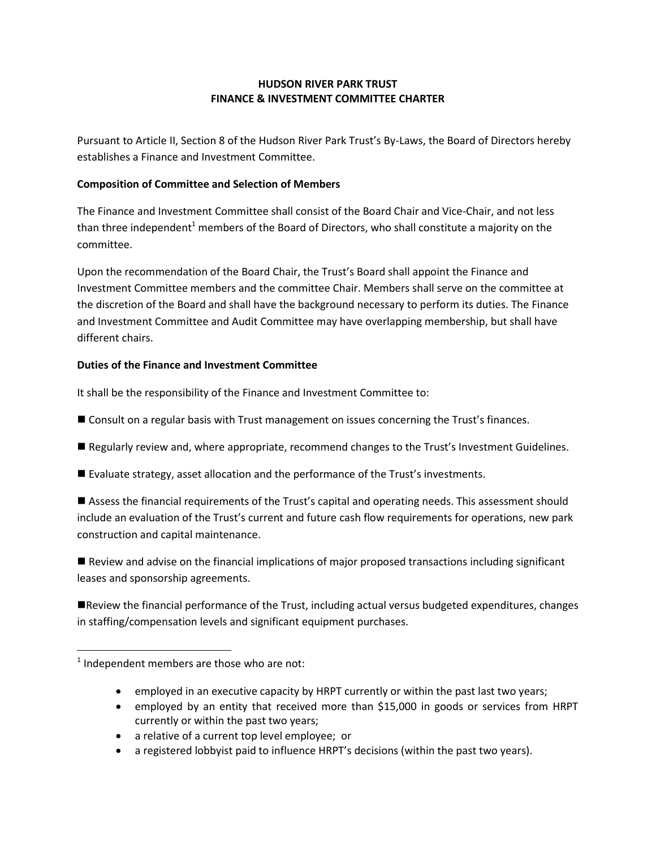## **HUDSON RIVER PARK TRUST FINANCE & INVESTMENT COMMITTEE CHARTER**

Pursuant to Article II, Section 8 of the Hudson River Park Trust's By-Laws, the Board of Directors hereby establishes a Finance and Investment Committee.

## **Composition of Committee and Selection of Members**

The Finance and Investment Committee shall consist of the Board Chair and Vice-Chair, and not less than three independent<sup>1</sup> members of the Board of Directors, who shall constitute a majority on the committee.

Upon the recommendation of the Board Chair, the Trust's Board shall appoint the Finance and Investment Committee members and the committee Chair. Members shall serve on the committee at the discretion of the Board and shall have the background necessary to perform its duties. The Finance and Investment Committee and Audit Committee may have overlapping membership, but shall have different chairs.

## **Duties of the Finance and Investment Committee**

It shall be the responsibility of the Finance and Investment Committee to:

- Consult on a regular basis with Trust management on issues concerning the Trust's finances.
- Regularly review and, where appropriate, recommend changes to the Trust's Investment Guidelines.
- Evaluate strategy, asset allocation and the performance of the Trust's investments.

 Assess the financial requirements of the Trust's capital and operating needs. This assessment should include an evaluation of the Trust's current and future cash flow requirements for operations, new park construction and capital maintenance.

 Review and advise on the financial implications of major proposed transactions including significant leases and sponsorship agreements.

Review the financial performance of the Trust, including actual versus budgeted expenditures, changes in staffing/compensation levels and significant equipment purchases.

 $\overline{\phantom{a}}$ 

- employed in an executive capacity by HRPT currently or within the past last two years;
- employed by an entity that received more than \$15,000 in goods or services from HRPT currently or within the past two years;
- a relative of a current top level employee; or
- a registered lobbyist paid to influence HRPT's decisions (within the past two years).

 $<sup>1</sup>$  Independent members are those who are not:</sup>